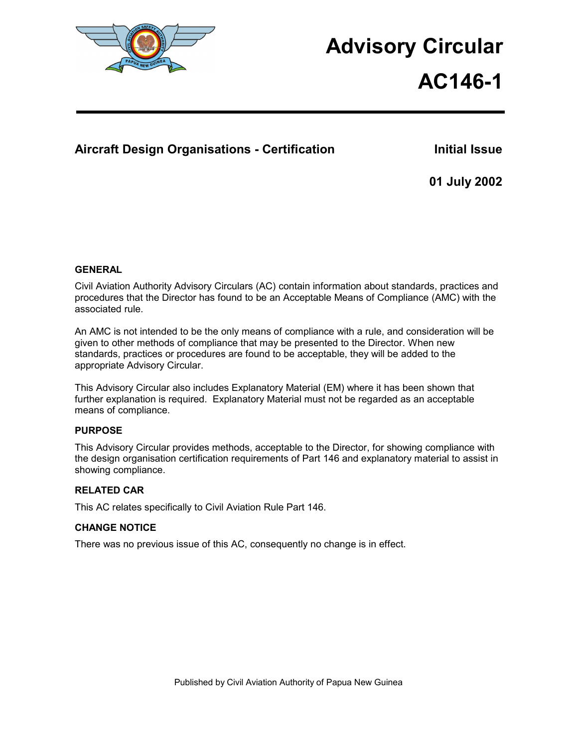

# **Advisory Circular**

# **AC146-1**

# Aircraft Design Organisations - Certification **Initial Issue**

**01 July 2002** 

## **GENERAL**

Civil Aviation Authority Advisory Circulars (AC) contain information about standards, practices and procedures that the Director has found to be an Acceptable Means of Compliance (AMC) with the associated rule.

An AMC is not intended to be the only means of compliance with a rule, and consideration will be given to other methods of compliance that may be presented to the Director. When new standards, practices or procedures are found to be acceptable, they will be added to the appropriate Advisory Circular.

This Advisory Circular also includes Explanatory Material (EM) where it has been shown that further explanation is required. Explanatory Material must not be regarded as an acceptable means of compliance.

## **PURPOSE**

This Advisory Circular provides methods, acceptable to the Director, for showing compliance with the design organisation certification requirements of Part 146 and explanatory material to assist in showing compliance.

## **RELATED CAR**

This AC relates specifically to Civil Aviation Rule Part 146.

## **CHANGE NOTICE**

There was no previous issue of this AC, consequently no change is in effect.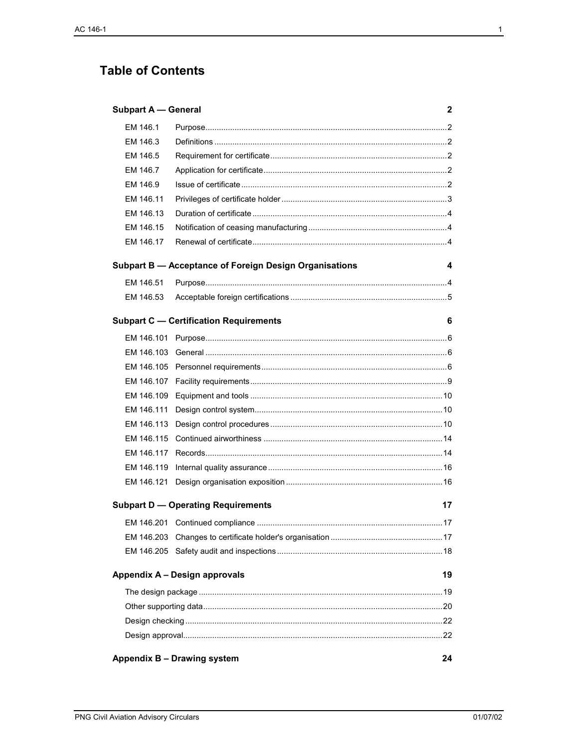# **Table of Contents**

| <b>Subpart A - General</b><br>2                 |                                                        |    |
|-------------------------------------------------|--------------------------------------------------------|----|
| EM 146.1                                        |                                                        |    |
| EM 146.3                                        |                                                        |    |
| EM 146.5                                        |                                                        |    |
| EM 146.7                                        |                                                        |    |
| EM 146.9                                        |                                                        |    |
| EM 146.11                                       |                                                        |    |
| EM 146.13                                       |                                                        |    |
| EM 146.15                                       |                                                        |    |
| EM 146.17                                       |                                                        |    |
|                                                 | Subpart B - Acceptance of Foreign Design Organisations | 4  |
| EM 146.51                                       |                                                        |    |
| EM 146.53                                       |                                                        |    |
|                                                 | <b>Subpart C - Certification Requirements</b>          | 6  |
| EM 146.101                                      |                                                        |    |
| EM 146.103                                      |                                                        |    |
| EM 146.105                                      |                                                        |    |
| EM 146.107                                      |                                                        |    |
| EM 146.109                                      |                                                        |    |
| EM 146.111                                      |                                                        |    |
| EM 146.113                                      |                                                        |    |
| EM 146.115                                      |                                                        |    |
| EM 146.117                                      |                                                        |    |
| EM 146.119                                      |                                                        |    |
| EM 146.121                                      |                                                        |    |
| <b>Subpart D - Operating Requirements</b><br>17 |                                                        |    |
|                                                 |                                                        |    |
|                                                 |                                                        |    |
|                                                 |                                                        |    |
|                                                 | Appendix A - Design approvals                          | 19 |
|                                                 |                                                        |    |
|                                                 |                                                        |    |
|                                                 |                                                        |    |
|                                                 |                                                        |    |
| Appendix B - Drawing system<br>24               |                                                        |    |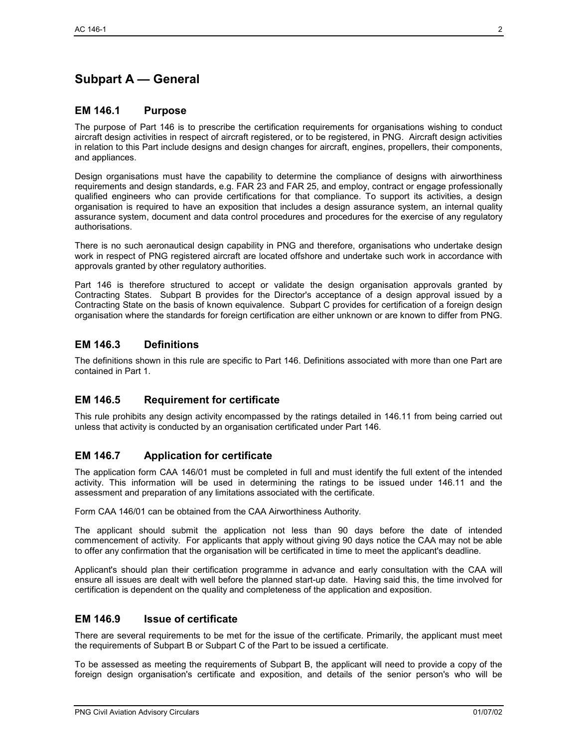# **Subpart A — General**

### **EM 146.1 Purpose**

The purpose of Part 146 is to prescribe the certification requirements for organisations wishing to conduct aircraft design activities in respect of aircraft registered, or to be registered, in PNG. Aircraft design activities in relation to this Part include designs and design changes for aircraft, engines, propellers, their components, and appliances.

Design organisations must have the capability to determine the compliance of designs with airworthiness requirements and design standards, e.g. FAR 23 and FAR 25, and employ, contract or engage professionally qualified engineers who can provide certifications for that compliance. To support its activities, a design organisation is required to have an exposition that includes a design assurance system, an internal quality assurance system, document and data control procedures and procedures for the exercise of any regulatory authorisations.

There is no such aeronautical design capability in PNG and therefore, organisations who undertake design work in respect of PNG registered aircraft are located offshore and undertake such work in accordance with approvals granted by other regulatory authorities.

Part 146 is therefore structured to accept or validate the design organisation approvals granted by Contracting States. Subpart B provides for the Director's acceptance of a design approval issued by a Contracting State on the basis of known equivalence. Subpart C provides for certification of a foreign design organisation where the standards for foreign certification are either unknown or are known to differ from PNG.

## **EM 146.3 Definitions**

The definitions shown in this rule are specific to Part 146. Definitions associated with more than one Part are contained in Part 1.

## **EM 146.5 Requirement for certificate**

This rule prohibits any design activity encompassed by the ratings detailed in 146.11 from being carried out unless that activity is conducted by an organisation certificated under Part 146.

## **EM 146.7 Application for certificate**

The application form CAA 146/01 must be completed in full and must identify the full extent of the intended activity. This information will be used in determining the ratings to be issued under 146.11 and the assessment and preparation of any limitations associated with the certificate.

Form CAA 146/01 can be obtained from the CAA Airworthiness Authority.

The applicant should submit the application not less than 90 days before the date of intended commencement of activity. For applicants that apply without giving 90 days notice the CAA may not be able to offer any confirmation that the organisation will be certificated in time to meet the applicant's deadline.

Applicant's should plan their certification programme in advance and early consultation with the CAA will ensure all issues are dealt with well before the planned start-up date. Having said this, the time involved for certification is dependent on the quality and completeness of the application and exposition.

## **EM 146.9 Issue of certificate**

There are several requirements to be met for the issue of the certificate. Primarily, the applicant must meet the requirements of Subpart B or Subpart C of the Part to be issued a certificate.

To be assessed as meeting the requirements of Subpart B, the applicant will need to provide a copy of the foreign design organisation's certificate and exposition, and details of the senior person's who will be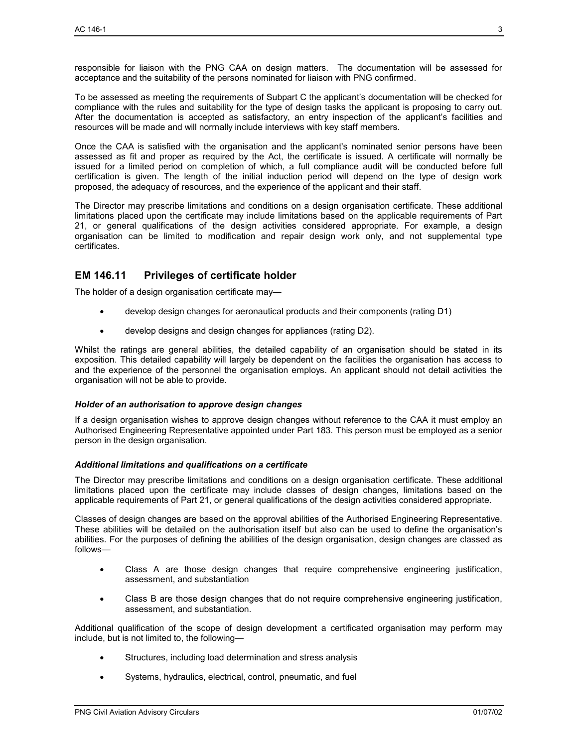responsible for liaison with the PNG CAA on design matters. The documentation will be assessed for acceptance and the suitability of the persons nominated for liaison with PNG confirmed.

To be assessed as meeting the requirements of Subpart C the applicant's documentation will be checked for compliance with the rules and suitability for the type of design tasks the applicant is proposing to carry out. After the documentation is accepted as satisfactory, an entry inspection of the applicant's facilities and resources will be made and will normally include interviews with key staff members.

Once the CAA is satisfied with the organisation and the applicant's nominated senior persons have been assessed as fit and proper as required by the Act, the certificate is issued. A certificate will normally be issued for a limited period on completion of which, a full compliance audit will be conducted before full certification is given. The length of the initial induction period will depend on the type of design work proposed, the adequacy of resources, and the experience of the applicant and their staff.

The Director may prescribe limitations and conditions on a design organisation certificate. These additional limitations placed upon the certificate may include limitations based on the applicable requirements of Part 21, or general qualifications of the design activities considered appropriate. For example, a design organisation can be limited to modification and repair design work only, and not supplemental type certificates.

## **EM 146.11 Privileges of certificate holder**

The holder of a design organisation certificate may—

- develop design changes for aeronautical products and their components (rating D1)
- develop designs and design changes for appliances (rating D2).

Whilst the ratings are general abilities, the detailed capability of an organisation should be stated in its exposition. This detailed capability will largely be dependent on the facilities the organisation has access to and the experience of the personnel the organisation employs. An applicant should not detail activities the organisation will not be able to provide.

#### *Holder of an authorisation to approve design changes*

If a design organisation wishes to approve design changes without reference to the CAA it must employ an Authorised Engineering Representative appointed under Part 183. This person must be employed as a senior person in the design organisation.

#### *Additional limitations and qualifications on a certificate*

The Director may prescribe limitations and conditions on a design organisation certificate. These additional limitations placed upon the certificate may include classes of design changes, limitations based on the applicable requirements of Part 21, or general qualifications of the design activities considered appropriate.

Classes of design changes are based on the approval abilities of the Authorised Engineering Representative. These abilities will be detailed on the authorisation itself but also can be used to define the organisation's abilities. For the purposes of defining the abilities of the design organisation, design changes are classed as follows—

- Class A are those design changes that require comprehensive engineering justification, assessment, and substantiation
- Class B are those design changes that do not require comprehensive engineering justification, assessment, and substantiation.

Additional qualification of the scope of design development a certificated organisation may perform may include, but is not limited to, the following—

- Structures, including load determination and stress analysis
- Systems, hydraulics, electrical, control, pneumatic, and fuel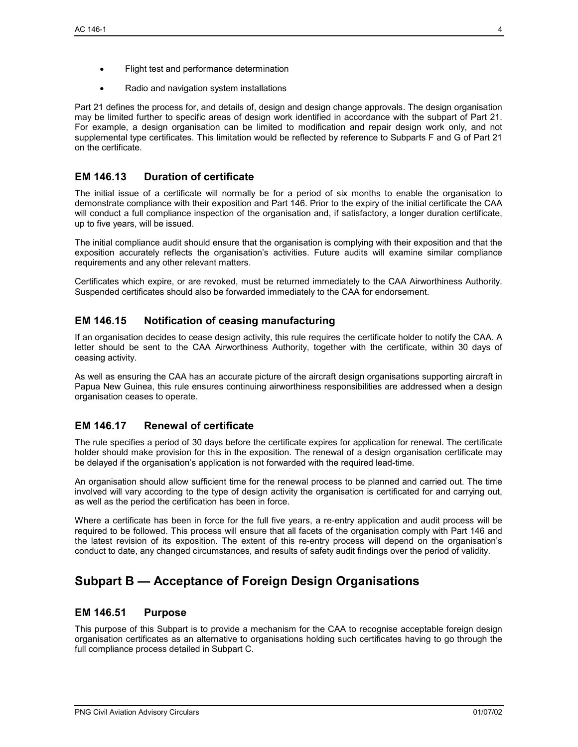- Flight test and performance determination
- Radio and navigation system installations

Part 21 defines the process for, and details of, design and design change approvals. The design organisation may be limited further to specific areas of design work identified in accordance with the subpart of Part 21. For example, a design organisation can be limited to modification and repair design work only, and not supplemental type certificates. This limitation would be reflected by reference to Subparts F and G of Part 21 on the certificate.

## **EM 146.13 Duration of certificate**

The initial issue of a certificate will normally be for a period of six months to enable the organisation to demonstrate compliance with their exposition and Part 146. Prior to the expiry of the initial certificate the CAA will conduct a full compliance inspection of the organisation and, if satisfactory, a longer duration certificate, up to five years, will be issued.

The initial compliance audit should ensure that the organisation is complying with their exposition and that the exposition accurately reflects the organisation's activities. Future audits will examine similar compliance requirements and any other relevant matters.

Certificates which expire, or are revoked, must be returned immediately to the CAA Airworthiness Authority. Suspended certificates should also be forwarded immediately to the CAA for endorsement.

## **EM 146.15 Notification of ceasing manufacturing**

If an organisation decides to cease design activity, this rule requires the certificate holder to notify the CAA. A letter should be sent to the CAA Airworthiness Authority, together with the certificate, within 30 days of ceasing activity.

As well as ensuring the CAA has an accurate picture of the aircraft design organisations supporting aircraft in Papua New Guinea, this rule ensures continuing airworthiness responsibilities are addressed when a design organisation ceases to operate.

## **EM 146.17 Renewal of certificate**

The rule specifies a period of 30 days before the certificate expires for application for renewal. The certificate holder should make provision for this in the exposition. The renewal of a design organisation certificate may be delayed if the organisation's application is not forwarded with the required lead-time.

An organisation should allow sufficient time for the renewal process to be planned and carried out. The time involved will vary according to the type of design activity the organisation is certificated for and carrying out, as well as the period the certification has been in force.

Where a certificate has been in force for the full five years, a re-entry application and audit process will be required to be followed. This process will ensure that all facets of the organisation comply with Part 146 and the latest revision of its exposition. The extent of this re-entry process will depend on the organisation's conduct to date, any changed circumstances, and results of safety audit findings over the period of validity.

## **Subpart B — Acceptance of Foreign Design Organisations**

## **EM 146.51 Purpose**

This purpose of this Subpart is to provide a mechanism for the CAA to recognise acceptable foreign design organisation certificates as an alternative to organisations holding such certificates having to go through the full compliance process detailed in Subpart C.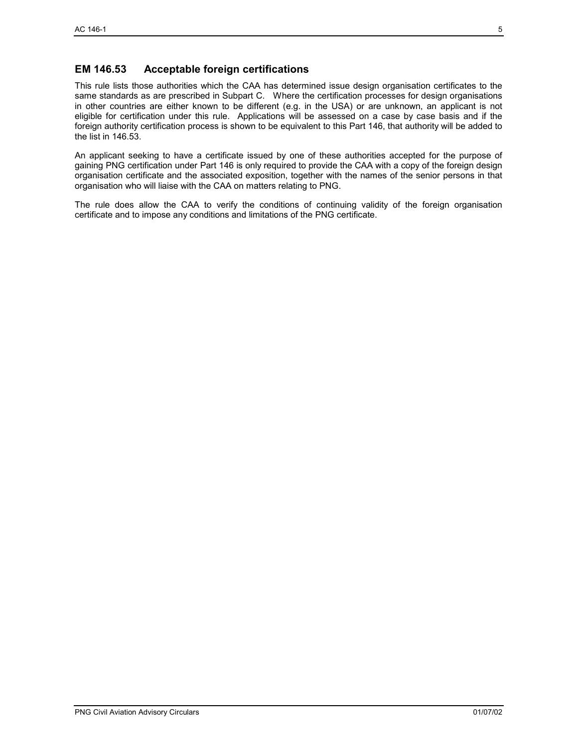## **EM 146.53 Acceptable foreign certifications**

This rule lists those authorities which the CAA has determined issue design organisation certificates to the same standards as are prescribed in Subpart C. Where the certification processes for design organisations in other countries are either known to be different (e.g. in the USA) or are unknown, an applicant is not eligible for certification under this rule. Applications will be assessed on a case by case basis and if the foreign authority certification process is shown to be equivalent to this Part 146, that authority will be added to the list in 146.53.

An applicant seeking to have a certificate issued by one of these authorities accepted for the purpose of gaining PNG certification under Part 146 is only required to provide the CAA with a copy of the foreign design organisation certificate and the associated exposition, together with the names of the senior persons in that organisation who will liaise with the CAA on matters relating to PNG.

The rule does allow the CAA to verify the conditions of continuing validity of the foreign organisation certificate and to impose any conditions and limitations of the PNG certificate.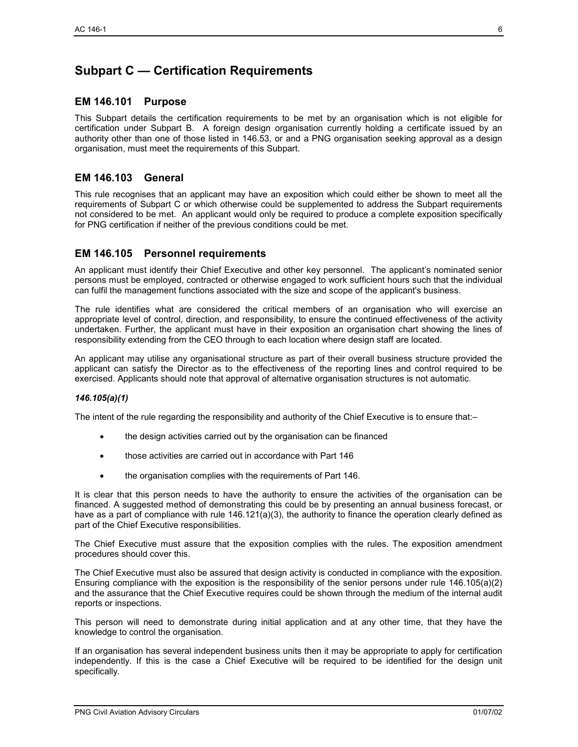# **Subpart C — Certification Requirements**

## **EM 146.101 Purpose**

This Subpart details the certification requirements to be met by an organisation which is not eligible for certification under Subpart B. A foreign design organisation currently holding a certificate issued by an authority other than one of those listed in 146.53, or and a PNG organisation seeking approval as a design organisation, must meet the requirements of this Subpart.

## **EM 146.103 General**

This rule recognises that an applicant may have an exposition which could either be shown to meet all the requirements of Subpart C or which otherwise could be supplemented to address the Subpart requirements not considered to be met. An applicant would only be required to produce a complete exposition specifically for PNG certification if neither of the previous conditions could be met.

## **EM 146.105 Personnel requirements**

An applicant must identify their Chief Executive and other key personnel. The applicant's nominated senior persons must be employed, contracted or otherwise engaged to work sufficient hours such that the individual can fulfil the management functions associated with the size and scope of the applicant's business.

The rule identifies what are considered the critical members of an organisation who will exercise an appropriate level of control, direction, and responsibility, to ensure the continued effectiveness of the activity undertaken. Further, the applicant must have in their exposition an organisation chart showing the lines of responsibility extending from the CEO through to each location where design staff are located.

An applicant may utilise any organisational structure as part of their overall business structure provided the applicant can satisfy the Director as to the effectiveness of the reporting lines and control required to be exercised. Applicants should note that approval of alternative organisation structures is not automatic.

#### *146.105(a)(1)*

The intent of the rule regarding the responsibility and authority of the Chief Executive is to ensure that:–

- the design activities carried out by the organisation can be financed
- those activities are carried out in accordance with Part 146
- the organisation complies with the requirements of Part 146.

It is clear that this person needs to have the authority to ensure the activities of the organisation can be financed. A suggested method of demonstrating this could be by presenting an annual business forecast, or have as a part of compliance with rule 146.121(a)(3), the authority to finance the operation clearly defined as part of the Chief Executive responsibilities.

The Chief Executive must assure that the exposition complies with the rules. The exposition amendment procedures should cover this.

The Chief Executive must also be assured that design activity is conducted in compliance with the exposition. Ensuring compliance with the exposition is the responsibility of the senior persons under rule 146.105(a)(2) and the assurance that the Chief Executive requires could be shown through the medium of the internal audit reports or inspections.

This person will need to demonstrate during initial application and at any other time, that they have the knowledge to control the organisation.

If an organisation has several independent business units then it may be appropriate to apply for certification independently. If this is the case a Chief Executive will be required to be identified for the design unit specifically.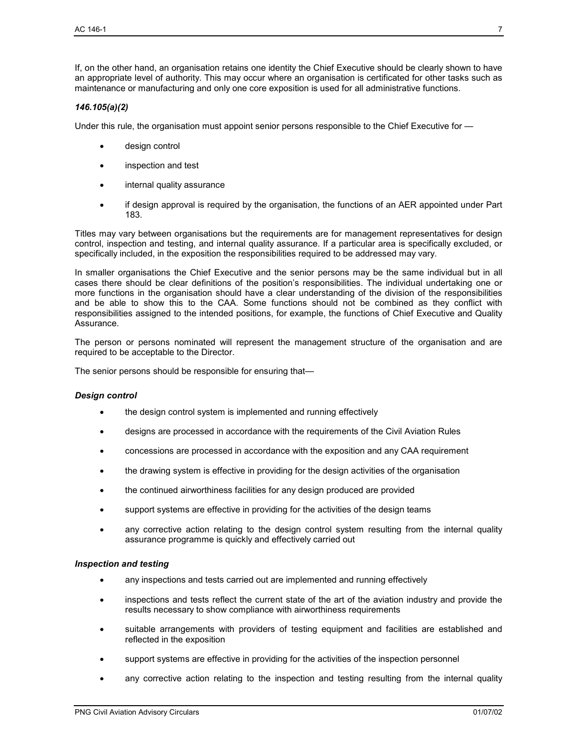If, on the other hand, an organisation retains one identity the Chief Executive should be clearly shown to have an appropriate level of authority. This may occur where an organisation is certificated for other tasks such as maintenance or manufacturing and only one core exposition is used for all administrative functions.

#### *146.105(a)(2)*

Under this rule, the organisation must appoint senior persons responsible to the Chief Executive for —

- design control
- inspection and test
- internal quality assurance
- if design approval is required by the organisation, the functions of an AER appointed under Part 183.

Titles may vary between organisations but the requirements are for management representatives for design control, inspection and testing, and internal quality assurance. If a particular area is specifically excluded, or specifically included, in the exposition the responsibilities required to be addressed may vary.

In smaller organisations the Chief Executive and the senior persons may be the same individual but in all cases there should be clear definitions of the position's responsibilities. The individual undertaking one or more functions in the organisation should have a clear understanding of the division of the responsibilities and be able to show this to the CAA. Some functions should not be combined as they conflict with responsibilities assigned to the intended positions, for example, the functions of Chief Executive and Quality Assurance.

The person or persons nominated will represent the management structure of the organisation and are required to be acceptable to the Director.

The senior persons should be responsible for ensuring that—

#### *Design control*

- the design control system is implemented and running effectively
- designs are processed in accordance with the requirements of the Civil Aviation Rules
- concessions are processed in accordance with the exposition and any CAA requirement
- the drawing system is effective in providing for the design activities of the organisation
- the continued airworthiness facilities for any design produced are provided
- support systems are effective in providing for the activities of the design teams
- any corrective action relating to the design control system resulting from the internal quality assurance programme is quickly and effectively carried out

#### *Inspection and testing*

- any inspections and tests carried out are implemented and running effectively
- inspections and tests reflect the current state of the art of the aviation industry and provide the results necessary to show compliance with airworthiness requirements
- suitable arrangements with providers of testing equipment and facilities are established and reflected in the exposition
- support systems are effective in providing for the activities of the inspection personnel
- any corrective action relating to the inspection and testing resulting from the internal quality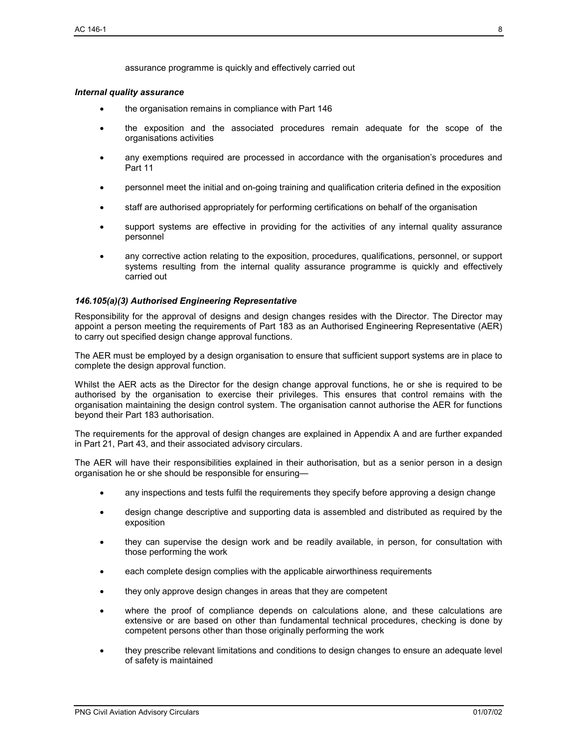assurance programme is quickly and effectively carried out

#### *Internal quality assurance*

- the organisation remains in compliance with Part 146
- the exposition and the associated procedures remain adequate for the scope of the organisations activities
- any exemptions required are processed in accordance with the organisation's procedures and Part 11
- personnel meet the initial and on-going training and qualification criteria defined in the exposition
- staff are authorised appropriately for performing certifications on behalf of the organisation
- support systems are effective in providing for the activities of any internal quality assurance personnel
- any corrective action relating to the exposition, procedures, qualifications, personnel, or support systems resulting from the internal quality assurance programme is quickly and effectively carried out

#### *146.105(a)(3) Authorised Engineering Representative*

Responsibility for the approval of designs and design changes resides with the Director. The Director may appoint a person meeting the requirements of Part 183 as an Authorised Engineering Representative (AER) to carry out specified design change approval functions.

The AER must be employed by a design organisation to ensure that sufficient support systems are in place to complete the design approval function.

Whilst the AER acts as the Director for the design change approval functions, he or she is required to be authorised by the organisation to exercise their privileges. This ensures that control remains with the organisation maintaining the design control system. The organisation cannot authorise the AER for functions beyond their Part 183 authorisation.

The requirements for the approval of design changes are explained in Appendix A and are further expanded in Part 21, Part 43, and their associated advisory circulars.

The AER will have their responsibilities explained in their authorisation, but as a senior person in a design organisation he or she should be responsible for ensuring—

- any inspections and tests fulfil the requirements they specify before approving a design change
- design change descriptive and supporting data is assembled and distributed as required by the exposition
- they can supervise the design work and be readily available, in person, for consultation with those performing the work
- each complete design complies with the applicable airworthiness requirements
- they only approve design changes in areas that they are competent
- where the proof of compliance depends on calculations alone, and these calculations are extensive or are based on other than fundamental technical procedures, checking is done by competent persons other than those originally performing the work
- they prescribe relevant limitations and conditions to design changes to ensure an adequate level of safety is maintained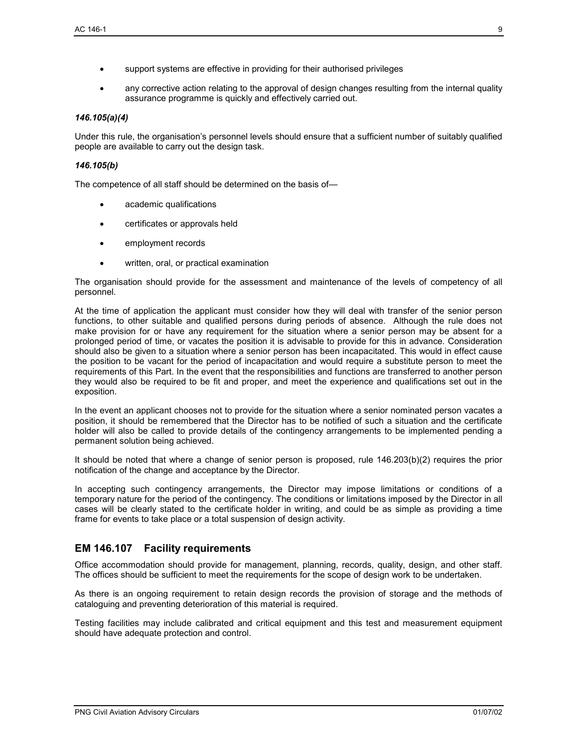- support systems are effective in providing for their authorised privileges
- any corrective action relating to the approval of design changes resulting from the internal quality assurance programme is quickly and effectively carried out.

#### *146.105(a)(4)*

Under this rule, the organisation's personnel levels should ensure that a sufficient number of suitably qualified people are available to carry out the design task.

#### *146.105(b)*

The competence of all staff should be determined on the basis of—

- academic qualifications
- certificates or approvals held
- employment records
- written, oral, or practical examination

The organisation should provide for the assessment and maintenance of the levels of competency of all personnel.

At the time of application the applicant must consider how they will deal with transfer of the senior person functions, to other suitable and qualified persons during periods of absence. Although the rule does not make provision for or have any requirement for the situation where a senior person may be absent for a prolonged period of time, or vacates the position it is advisable to provide for this in advance. Consideration should also be given to a situation where a senior person has been incapacitated. This would in effect cause the position to be vacant for the period of incapacitation and would require a substitute person to meet the requirements of this Part. In the event that the responsibilities and functions are transferred to another person they would also be required to be fit and proper, and meet the experience and qualifications set out in the exposition.

In the event an applicant chooses not to provide for the situation where a senior nominated person vacates a position, it should be remembered that the Director has to be notified of such a situation and the certificate holder will also be called to provide details of the contingency arrangements to be implemented pending a permanent solution being achieved.

It should be noted that where a change of senior person is proposed, rule 146.203(b)(2) requires the prior notification of the change and acceptance by the Director.

In accepting such contingency arrangements, the Director may impose limitations or conditions of a temporary nature for the period of the contingency. The conditions or limitations imposed by the Director in all cases will be clearly stated to the certificate holder in writing, and could be as simple as providing a time frame for events to take place or a total suspension of design activity.

## **EM 146.107 Facility requirements**

Office accommodation should provide for management, planning, records, quality, design, and other staff. The offices should be sufficient to meet the requirements for the scope of design work to be undertaken.

As there is an ongoing requirement to retain design records the provision of storage and the methods of cataloguing and preventing deterioration of this material is required.

Testing facilities may include calibrated and critical equipment and this test and measurement equipment should have adequate protection and control.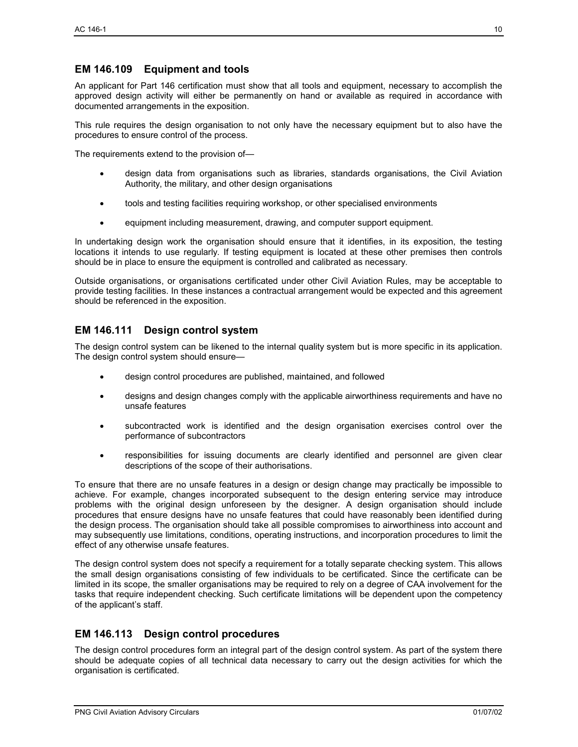## **EM 146.109 Equipment and tools**

An applicant for Part 146 certification must show that all tools and equipment, necessary to accomplish the approved design activity will either be permanently on hand or available as required in accordance with documented arrangements in the exposition.

This rule requires the design organisation to not only have the necessary equipment but to also have the procedures to ensure control of the process.

The requirements extend to the provision of—

- design data from organisations such as libraries, standards organisations, the Civil Aviation Authority, the military, and other design organisations
- tools and testing facilities requiring workshop, or other specialised environments
- equipment including measurement, drawing, and computer support equipment.

In undertaking design work the organisation should ensure that it identifies, in its exposition, the testing locations it intends to use regularly. If testing equipment is located at these other premises then controls should be in place to ensure the equipment is controlled and calibrated as necessary.

Outside organisations, or organisations certificated under other Civil Aviation Rules, may be acceptable to provide testing facilities. In these instances a contractual arrangement would be expected and this agreement should be referenced in the exposition.

## **EM 146.111 Design control system**

The design control system can be likened to the internal quality system but is more specific in its application. The design control system should ensure—

- design control procedures are published, maintained, and followed
- designs and design changes comply with the applicable airworthiness requirements and have no unsafe features
- subcontracted work is identified and the design organisation exercises control over the performance of subcontractors
- responsibilities for issuing documents are clearly identified and personnel are given clear descriptions of the scope of their authorisations.

To ensure that there are no unsafe features in a design or design change may practically be impossible to achieve. For example, changes incorporated subsequent to the design entering service may introduce problems with the original design unforeseen by the designer. A design organisation should include procedures that ensure designs have no unsafe features that could have reasonably been identified during the design process. The organisation should take all possible compromises to airworthiness into account and may subsequently use limitations, conditions, operating instructions, and incorporation procedures to limit the effect of any otherwise unsafe features.

The design control system does not specify a requirement for a totally separate checking system. This allows the small design organisations consisting of few individuals to be certificated. Since the certificate can be limited in its scope, the smaller organisations may be required to rely on a degree of CAA involvement for the tasks that require independent checking. Such certificate limitations will be dependent upon the competency of the applicant's staff.

## **EM 146.113 Design control procedures**

The design control procedures form an integral part of the design control system. As part of the system there should be adequate copies of all technical data necessary to carry out the design activities for which the organisation is certificated.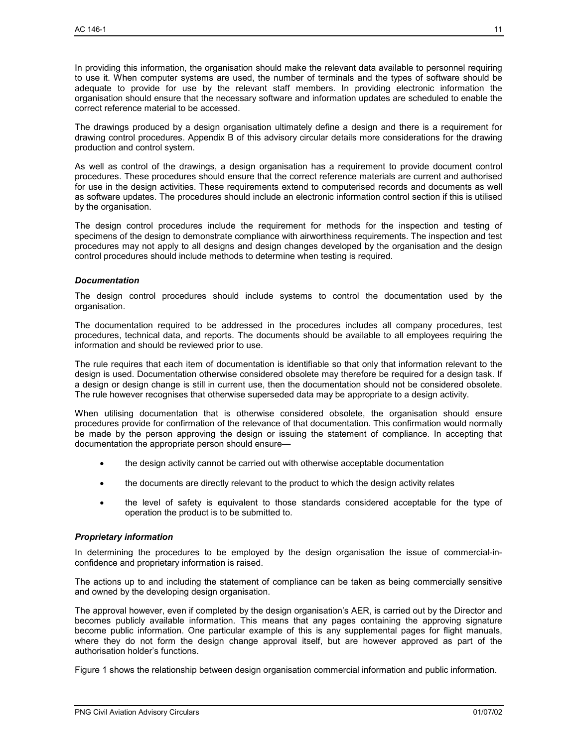In providing this information, the organisation should make the relevant data available to personnel requiring to use it. When computer systems are used, the number of terminals and the types of software should be adequate to provide for use by the relevant staff members. In providing electronic information the organisation should ensure that the necessary software and information updates are scheduled to enable the correct reference material to be accessed.

The drawings produced by a design organisation ultimately define a design and there is a requirement for drawing control procedures. Appendix B of this advisory circular details more considerations for the drawing production and control system.

As well as control of the drawings, a design organisation has a requirement to provide document control procedures. These procedures should ensure that the correct reference materials are current and authorised for use in the design activities. These requirements extend to computerised records and documents as well as software updates. The procedures should include an electronic information control section if this is utilised by the organisation.

The design control procedures include the requirement for methods for the inspection and testing of specimens of the design to demonstrate compliance with airworthiness requirements. The inspection and test procedures may not apply to all designs and design changes developed by the organisation and the design control procedures should include methods to determine when testing is required.

#### *Documentation*

The design control procedures should include systems to control the documentation used by the organisation.

The documentation required to be addressed in the procedures includes all company procedures, test procedures, technical data, and reports. The documents should be available to all employees requiring the information and should be reviewed prior to use.

The rule requires that each item of documentation is identifiable so that only that information relevant to the design is used. Documentation otherwise considered obsolete may therefore be required for a design task. If a design or design change is still in current use, then the documentation should not be considered obsolete. The rule however recognises that otherwise superseded data may be appropriate to a design activity.

When utilising documentation that is otherwise considered obsolete, the organisation should ensure procedures provide for confirmation of the relevance of that documentation. This confirmation would normally be made by the person approving the design or issuing the statement of compliance. In accepting that documentation the appropriate person should ensure—

- the design activity cannot be carried out with otherwise acceptable documentation
- the documents are directly relevant to the product to which the design activity relates
- the level of safety is equivalent to those standards considered acceptable for the type of operation the product is to be submitted to.

#### *Proprietary information*

In determining the procedures to be employed by the design organisation the issue of commercial-inconfidence and proprietary information is raised.

The actions up to and including the statement of compliance can be taken as being commercially sensitive and owned by the developing design organisation.

The approval however, even if completed by the design organisation's AER, is carried out by the Director and becomes publicly available information. This means that any pages containing the approving signature become public information. One particular example of this is any supplemental pages for flight manuals, where they do not form the design change approval itself, but are however approved as part of the authorisation holder's functions.

Figure 1 shows the relationship between design organisation commercial information and public information.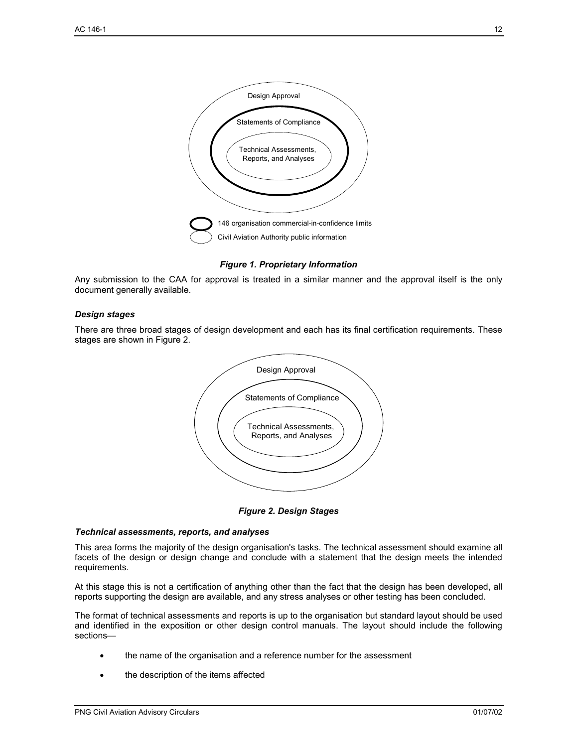

#### *Figure 1. Proprietary Information*

Any submission to the CAA for approval is treated in a similar manner and the approval itself is the only document generally available.

#### *Design stages*

There are three broad stages of design development and each has its final certification requirements. These stages are shown in Figure 2.



*Figure 2. Design Stages* 

#### *Technical assessments, reports, and analyses*

This area forms the majority of the design organisation's tasks. The technical assessment should examine all facets of the design or design change and conclude with a statement that the design meets the intended requirements.

At this stage this is not a certification of anything other than the fact that the design has been developed, all reports supporting the design are available, and any stress analyses or other testing has been concluded.

The format of technical assessments and reports is up to the organisation but standard layout should be used and identified in the exposition or other design control manuals. The layout should include the following sections—

- the name of the organisation and a reference number for the assessment
- the description of the items affected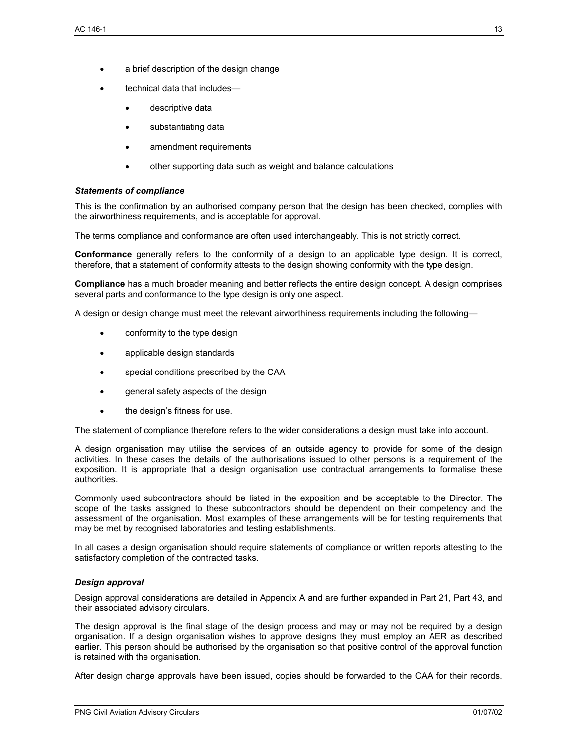- technical data that includes
	- descriptive data
	- substantiating data
	- amendment requirements
	- other supporting data such as weight and balance calculations

#### *Statements of compliance*

This is the confirmation by an authorised company person that the design has been checked, complies with the airworthiness requirements, and is acceptable for approval.

The terms compliance and conformance are often used interchangeably. This is not strictly correct.

**Conformance** generally refers to the conformity of a design to an applicable type design. It is correct, therefore, that a statement of conformity attests to the design showing conformity with the type design.

**Compliance** has a much broader meaning and better reflects the entire design concept. A design comprises several parts and conformance to the type design is only one aspect.

A design or design change must meet the relevant airworthiness requirements including the following—

- conformity to the type design
- applicable design standards
- special conditions prescribed by the CAA
- general safety aspects of the design
- the design's fitness for use.

The statement of compliance therefore refers to the wider considerations a design must take into account.

A design organisation may utilise the services of an outside agency to provide for some of the design activities. In these cases the details of the authorisations issued to other persons is a requirement of the exposition. It is appropriate that a design organisation use contractual arrangements to formalise these authorities.

Commonly used subcontractors should be listed in the exposition and be acceptable to the Director. The scope of the tasks assigned to these subcontractors should be dependent on their competency and the assessment of the organisation. Most examples of these arrangements will be for testing requirements that may be met by recognised laboratories and testing establishments.

In all cases a design organisation should require statements of compliance or written reports attesting to the satisfactory completion of the contracted tasks.

#### *Design approval*

Design approval considerations are detailed in Appendix A and are further expanded in Part 21, Part 43, and their associated advisory circulars.

The design approval is the final stage of the design process and may or may not be required by a design organisation. If a design organisation wishes to approve designs they must employ an AER as described earlier. This person should be authorised by the organisation so that positive control of the approval function is retained with the organisation.

After design change approvals have been issued, copies should be forwarded to the CAA for their records.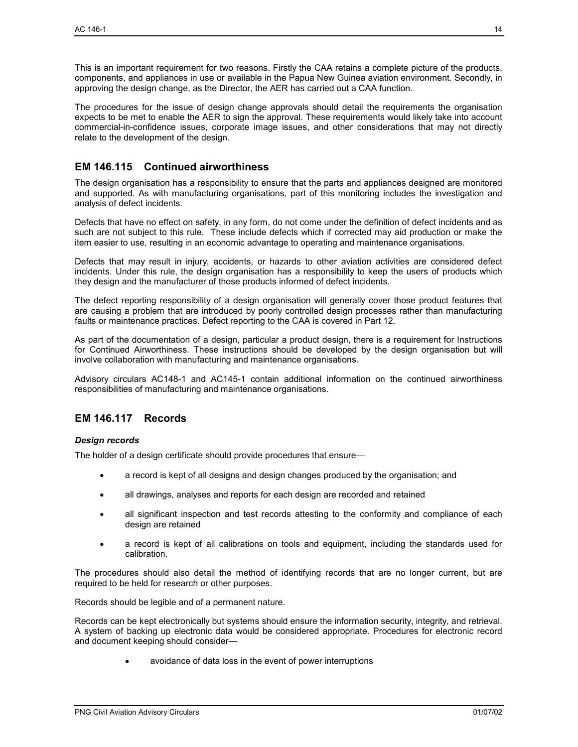This is an important requirement for two reasons. Firstly the CAA retains a complete picture of the products, components, and appliances in use or available in the Papua New Guinea aviation environment. Secondly, in approving the design change, as the Director, the AER has carried out a CAA function.

The procedures for the issue of design change approvals should detail the requirements the organisation expects to be met to enable the AER to sign the approval. These requirements would likely take into account commercial-in-confidence issues, corporate image issues, and other considerations that may not directly relate to the development of the design.

## **EM 146.115 Continued airworthiness**

The design organisation has a responsibility to ensure that the parts and appliances designed are monitored and supported. As with manufacturing organisations, part of this monitoring includes the investigation and analysis of defect incidents.

Defects that have no effect on safety, in any form, do not come under the definition of defect incidents and as such are not subject to this rule. These include defects which if corrected may aid production or make the item easier to use, resulting in an economic advantage to operating and maintenance organisations.

Defects that may result in injury, accidents, or hazards to other aviation activities are considered defect incidents. Under this rule, the design organisation has a responsibility to keep the users of products which they design and the manufacturer of those products informed of defect incidents.

The defect reporting responsibility of a design organisation will generally cover those product features that are causing a problem that are introduced by poorly controlled design processes rather than manufacturing faults or maintenance practices. Defect reporting to the CAA is covered in Part 12.

As part of the documentation of a design, particular a product design, there is a requirement for Instructions for Continued Airworthiness. These instructions should be developed by the design organisation but will involve collaboration with manufacturing and maintenance organisations.

Advisory circulars AC148-1 and AC145-1 contain additional information on the continued airworthiness responsibilities of manufacturing and maintenance organisations.

## **EM 146.117 Records**

#### *Design records*

The holder of a design certificate should provide procedures that ensure—

- a record is kept of all designs and design changes produced by the organisation; and
- all drawings, analyses and reports for each design are recorded and retained
- all significant inspection and test records attesting to the conformity and compliance of each design are retained
- a record is kept of all calibrations on tools and equipment, including the standards used for calibration.

The procedures should also detail the method of identifying records that are no longer current, but are required to be held for research or other purposes.

Records should be legible and of a permanent nature.

Records can be kept electronically but systems should ensure the information security, integrity, and retrieval. A system of backing up electronic data would be considered appropriate. Procedures for electronic record and document keeping should consider—

• avoidance of data loss in the event of power interruptions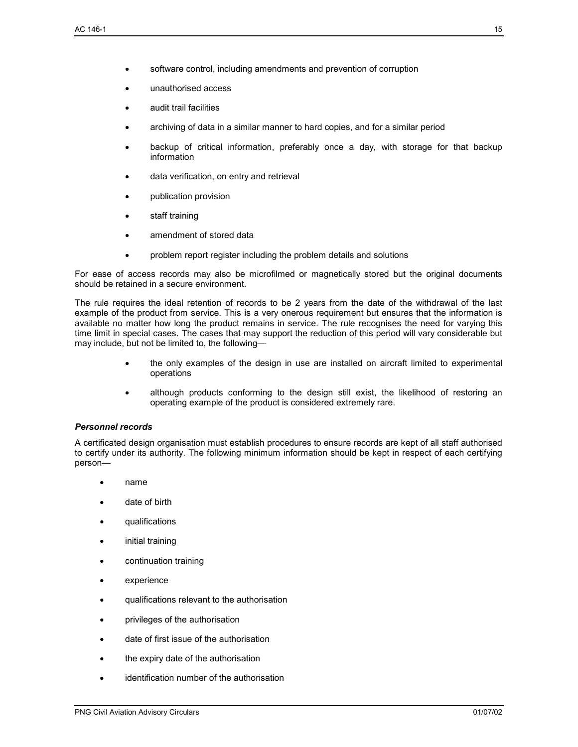- software control, including amendments and prevention of corruption
- unauthorised access
- audit trail facilities
- archiving of data in a similar manner to hard copies, and for a similar period
- backup of critical information, preferably once a day, with storage for that backup information
- data verification, on entry and retrieval
- publication provision
- staff training
- amendment of stored data
- problem report register including the problem details and solutions

For ease of access records may also be microfilmed or magnetically stored but the original documents should be retained in a secure environment.

The rule requires the ideal retention of records to be 2 years from the date of the withdrawal of the last example of the product from service. This is a very onerous requirement but ensures that the information is available no matter how long the product remains in service. The rule recognises the need for varying this time limit in special cases. The cases that may support the reduction of this period will vary considerable but may include, but not be limited to, the following—

- the only examples of the design in use are installed on aircraft limited to experimental operations
- although products conforming to the design still exist, the likelihood of restoring an operating example of the product is considered extremely rare.

#### *Personnel records*

A certificated design organisation must establish procedures to ensure records are kept of all staff authorised to certify under its authority. The following minimum information should be kept in respect of each certifying person—

- name
- date of birth
- qualifications
- initial training
- continuation training
- experience
- qualifications relevant to the authorisation
- privileges of the authorisation
- date of first issue of the authorisation
- the expiry date of the authorisation
- identification number of the authorisation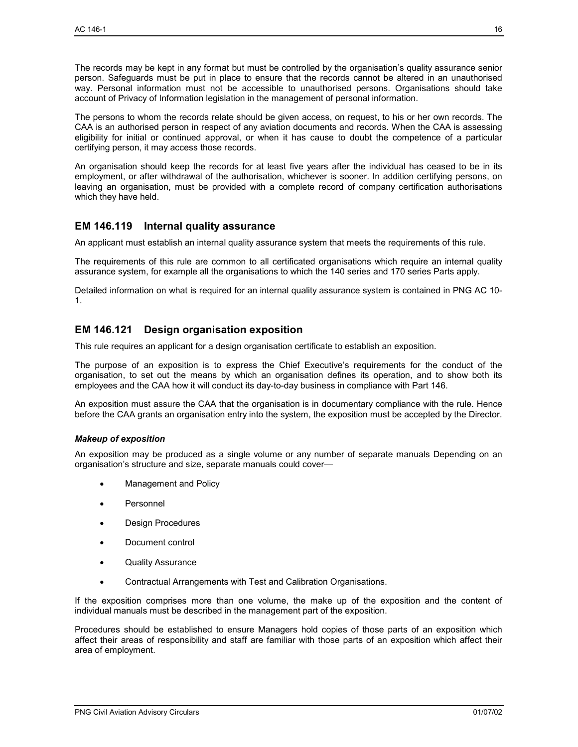The records may be kept in any format but must be controlled by the organisation's quality assurance senior person. Safeguards must be put in place to ensure that the records cannot be altered in an unauthorised way. Personal information must not be accessible to unauthorised persons. Organisations should take account of Privacy of Information legislation in the management of personal information.

The persons to whom the records relate should be given access, on request, to his or her own records. The CAA is an authorised person in respect of any aviation documents and records. When the CAA is assessing eligibility for initial or continued approval, or when it has cause to doubt the competence of a particular certifying person, it may access those records.

An organisation should keep the records for at least five years after the individual has ceased to be in its employment, or after withdrawal of the authorisation, whichever is sooner. In addition certifying persons, on leaving an organisation, must be provided with a complete record of company certification authorisations which they have held.

## **EM 146.119 Internal quality assurance**

An applicant must establish an internal quality assurance system that meets the requirements of this rule.

The requirements of this rule are common to all certificated organisations which require an internal quality assurance system, for example all the organisations to which the 140 series and 170 series Parts apply.

Detailed information on what is required for an internal quality assurance system is contained in PNG AC 10- 1.

## **EM 146.121 Design organisation exposition**

This rule requires an applicant for a design organisation certificate to establish an exposition.

The purpose of an exposition is to express the Chief Executive's requirements for the conduct of the organisation, to set out the means by which an organisation defines its operation, and to show both its employees and the CAA how it will conduct its day-to-day business in compliance with Part 146.

An exposition must assure the CAA that the organisation is in documentary compliance with the rule. Hence before the CAA grants an organisation entry into the system, the exposition must be accepted by the Director.

#### *Makeup of exposition*

An exposition may be produced as a single volume or any number of separate manuals Depending on an organisation's structure and size, separate manuals could cover—

- Management and Policy
- **Personnel**
- Design Procedures
- Document control
- Quality Assurance
- Contractual Arrangements with Test and Calibration Organisations.

If the exposition comprises more than one volume, the make up of the exposition and the content of individual manuals must be described in the management part of the exposition.

Procedures should be established to ensure Managers hold copies of those parts of an exposition which affect their areas of responsibility and staff are familiar with those parts of an exposition which affect their area of employment.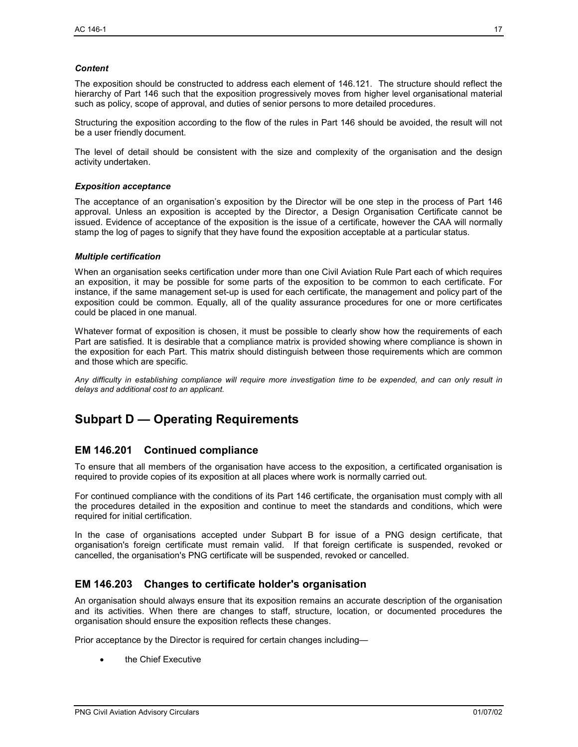#### *Content*

The exposition should be constructed to address each element of 146.121. The structure should reflect the hierarchy of Part 146 such that the exposition progressively moves from higher level organisational material such as policy, scope of approval, and duties of senior persons to more detailed procedures.

Structuring the exposition according to the flow of the rules in Part 146 should be avoided, the result will not be a user friendly document.

The level of detail should be consistent with the size and complexity of the organisation and the design activity undertaken.

#### *Exposition acceptance*

The acceptance of an organisation's exposition by the Director will be one step in the process of Part 146 approval. Unless an exposition is accepted by the Director, a Design Organisation Certificate cannot be issued. Evidence of acceptance of the exposition is the issue of a certificate, however the CAA will normally stamp the log of pages to signify that they have found the exposition acceptable at a particular status.

#### *Multiple certification*

When an organisation seeks certification under more than one Civil Aviation Rule Part each of which requires an exposition, it may be possible for some parts of the exposition to be common to each certificate. For instance, if the same management set-up is used for each certificate, the management and policy part of the exposition could be common. Equally, all of the quality assurance procedures for one or more certificates could be placed in one manual.

Whatever format of exposition is chosen, it must be possible to clearly show how the requirements of each Part are satisfied. It is desirable that a compliance matrix is provided showing where compliance is shown in the exposition for each Part. This matrix should distinguish between those requirements which are common and those which are specific.

*Any difficulty in establishing compliance will require more investigation time to be expended, and can only result in delays and additional cost to an applicant.* 

# **Subpart D — Operating Requirements**

## **EM 146.201 Continued compliance**

To ensure that all members of the organisation have access to the exposition, a certificated organisation is required to provide copies of its exposition at all places where work is normally carried out.

For continued compliance with the conditions of its Part 146 certificate, the organisation must comply with all the procedures detailed in the exposition and continue to meet the standards and conditions, which were required for initial certification.

In the case of organisations accepted under Subpart B for issue of a PNG design certificate, that organisation's foreign certificate must remain valid. If that foreign certificate is suspended, revoked or cancelled, the organisation's PNG certificate will be suspended, revoked or cancelled.

## **EM 146.203 Changes to certificate holder's organisation**

An organisation should always ensure that its exposition remains an accurate description of the organisation and its activities. When there are changes to staff, structure, location, or documented procedures the organisation should ensure the exposition reflects these changes.

Prior acceptance by the Director is required for certain changes including—

the Chief Executive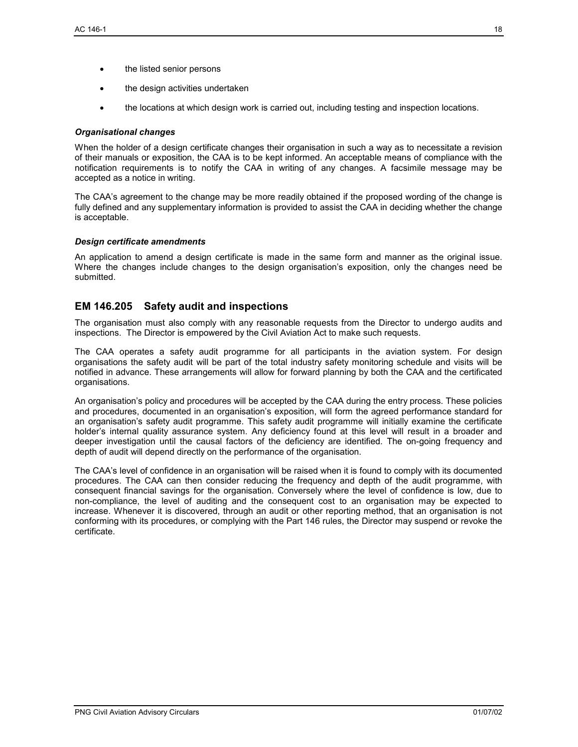- the listed senior persons
- the design activities undertaken
- the locations at which design work is carried out, including testing and inspection locations.

#### *Organisational changes*

When the holder of a design certificate changes their organisation in such a way as to necessitate a revision of their manuals or exposition, the CAA is to be kept informed. An acceptable means of compliance with the notification requirements is to notify the CAA in writing of any changes. A facsimile message may be accepted as a notice in writing.

The CAA's agreement to the change may be more readily obtained if the proposed wording of the change is fully defined and any supplementary information is provided to assist the CAA in deciding whether the change is acceptable.

### *Design certificate amendments*

An application to amend a design certificate is made in the same form and manner as the original issue. Where the changes include changes to the design organisation's exposition, only the changes need be submitted.

## **EM 146.205 Safety audit and inspections**

The organisation must also comply with any reasonable requests from the Director to undergo audits and inspections. The Director is empowered by the Civil Aviation Act to make such requests.

The CAA operates a safety audit programme for all participants in the aviation system. For design organisations the safety audit will be part of the total industry safety monitoring schedule and visits will be notified in advance. These arrangements will allow for forward planning by both the CAA and the certificated organisations.

An organisation's policy and procedures will be accepted by the CAA during the entry process. These policies and procedures, documented in an organisation's exposition, will form the agreed performance standard for an organisation's safety audit programme. This safety audit programme will initially examine the certificate holder's internal quality assurance system. Any deficiency found at this level will result in a broader and deeper investigation until the causal factors of the deficiency are identified. The on-going frequency and depth of audit will depend directly on the performance of the organisation.

The CAA's level of confidence in an organisation will be raised when it is found to comply with its documented procedures. The CAA can then consider reducing the frequency and depth of the audit programme, with consequent financial savings for the organisation. Conversely where the level of confidence is low, due to non-compliance, the level of auditing and the consequent cost to an organisation may be expected to increase. Whenever it is discovered, through an audit or other reporting method, that an organisation is not conforming with its procedures, or complying with the Part 146 rules, the Director may suspend or revoke the certificate.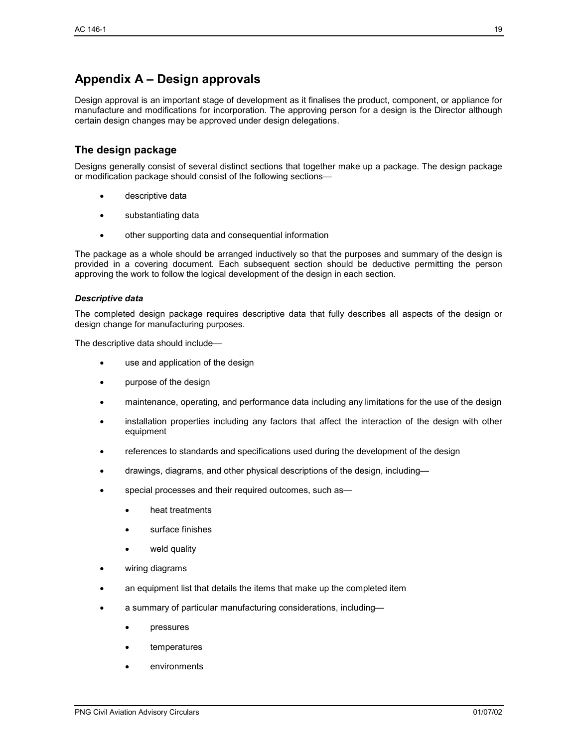# **Appendix A – Design approvals**

Design approval is an important stage of development as it finalises the product, component, or appliance for manufacture and modifications for incorporation. The approving person for a design is the Director although certain design changes may be approved under design delegations.

## **The design package**

Designs generally consist of several distinct sections that together make up a package. The design package or modification package should consist of the following sections—

- descriptive data
- substantiating data
- other supporting data and consequential information

The package as a whole should be arranged inductively so that the purposes and summary of the design is provided in a covering document. Each subsequent section should be deductive permitting the person approving the work to follow the logical development of the design in each section.

#### *Descriptive data*

The completed design package requires descriptive data that fully describes all aspects of the design or design change for manufacturing purposes.

The descriptive data should include—

- use and application of the design
- purpose of the design
- maintenance, operating, and performance data including any limitations for the use of the design
- installation properties including any factors that affect the interaction of the design with other equipment
- references to standards and specifications used during the development of the design
- drawings, diagrams, and other physical descriptions of the design, including—
- special processes and their required outcomes, such as
	- heat treatments
	- surface finishes
	- weld quality
- wiring diagrams
- an equipment list that details the items that make up the completed item
- a summary of particular manufacturing considerations, including
	- **pressures**
	- temperatures
	- **environments**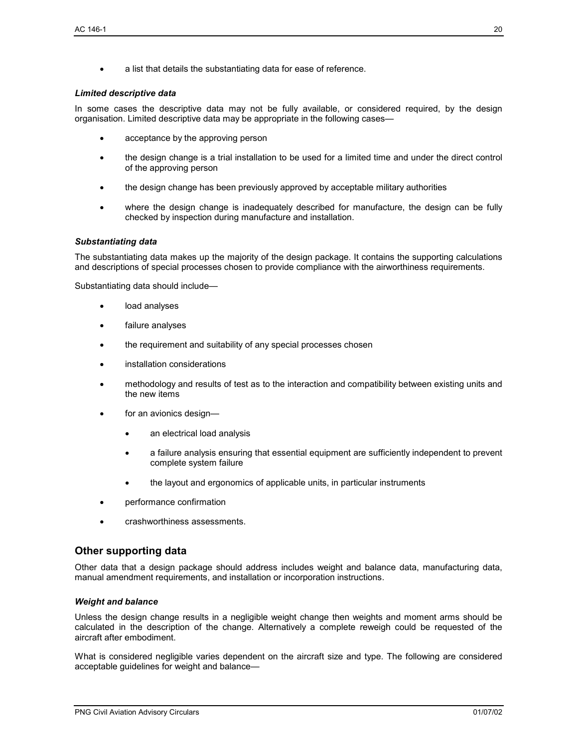• a list that details the substantiating data for ease of reference.

#### *Limited descriptive data*

In some cases the descriptive data may not be fully available, or considered required, by the design organisation. Limited descriptive data may be appropriate in the following cases—

- acceptance by the approving person
- the design change is a trial installation to be used for a limited time and under the direct control of the approving person
- the design change has been previously approved by acceptable military authorities
- where the design change is inadequately described for manufacture, the design can be fully checked by inspection during manufacture and installation.

#### *Substantiating data*

The substantiating data makes up the majority of the design package. It contains the supporting calculations and descriptions of special processes chosen to provide compliance with the airworthiness requirements.

Substantiating data should include—

- load analyses
- failure analyses
- the requirement and suitability of any special processes chosen
- installation considerations
- methodology and results of test as to the interaction and compatibility between existing units and the new items
- for an avionics design
	- an electrical load analysis
	- a failure analysis ensuring that essential equipment are sufficiently independent to prevent complete system failure
	- the layout and ergonomics of applicable units, in particular instruments
- performance confirmation
- crashworthiness assessments.

## **Other supporting data**

Other data that a design package should address includes weight and balance data, manufacturing data, manual amendment requirements, and installation or incorporation instructions.

#### *Weight and balance*

Unless the design change results in a negligible weight change then weights and moment arms should be calculated in the description of the change. Alternatively a complete reweigh could be requested of the aircraft after embodiment.

What is considered negligible varies dependent on the aircraft size and type. The following are considered acceptable guidelines for weight and balance—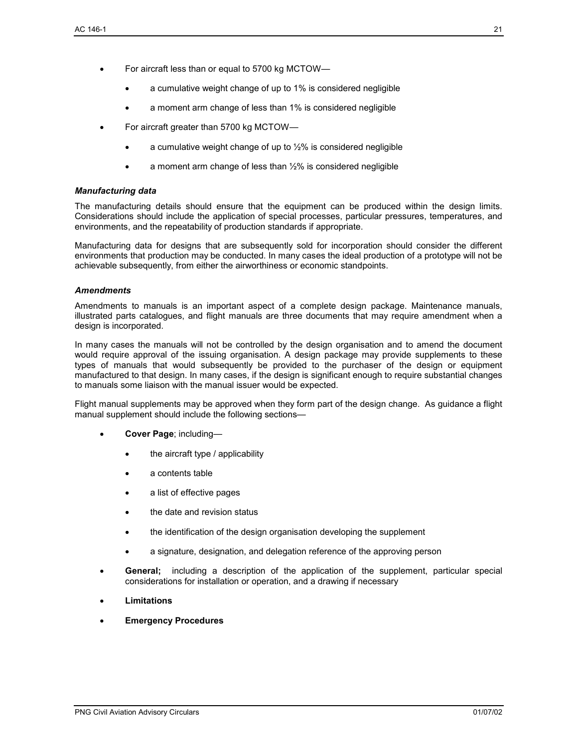- For aircraft less than or equal to 5700 kg MCTOW—
	- a cumulative weight change of up to 1% is considered negligible
	- a moment arm change of less than 1% is considered negligible
- For aircraft greater than 5700 kg MCTOW
	- a cumulative weight change of up to  $\frac{1}{2}\%$  is considered negligible
	- a moment arm change of less than  $1/2$ % is considered negligible

#### *Manufacturing data*

The manufacturing details should ensure that the equipment can be produced within the design limits. Considerations should include the application of special processes, particular pressures, temperatures, and environments, and the repeatability of production standards if appropriate.

Manufacturing data for designs that are subsequently sold for incorporation should consider the different environments that production may be conducted. In many cases the ideal production of a prototype will not be achievable subsequently, from either the airworthiness or economic standpoints.

#### *Amendments*

Amendments to manuals is an important aspect of a complete design package. Maintenance manuals, illustrated parts catalogues, and flight manuals are three documents that may require amendment when a design is incorporated.

In many cases the manuals will not be controlled by the design organisation and to amend the document would require approval of the issuing organisation. A design package may provide supplements to these types of manuals that would subsequently be provided to the purchaser of the design or equipment manufactured to that design. In many cases, if the design is significant enough to require substantial changes to manuals some liaison with the manual issuer would be expected.

Flight manual supplements may be approved when they form part of the design change. As guidance a flight manual supplement should include the following sections—

- **Cover Page**; including
	- the aircraft type / applicability
	- a contents table
	- a list of effective pages
	- the date and revision status
	- the identification of the design organisation developing the supplement
	- a signature, designation, and delegation reference of the approving person
- **General;** including a description of the application of the supplement, particular special considerations for installation or operation, and a drawing if necessary
- **Limitations**
- **Emergency Procedures**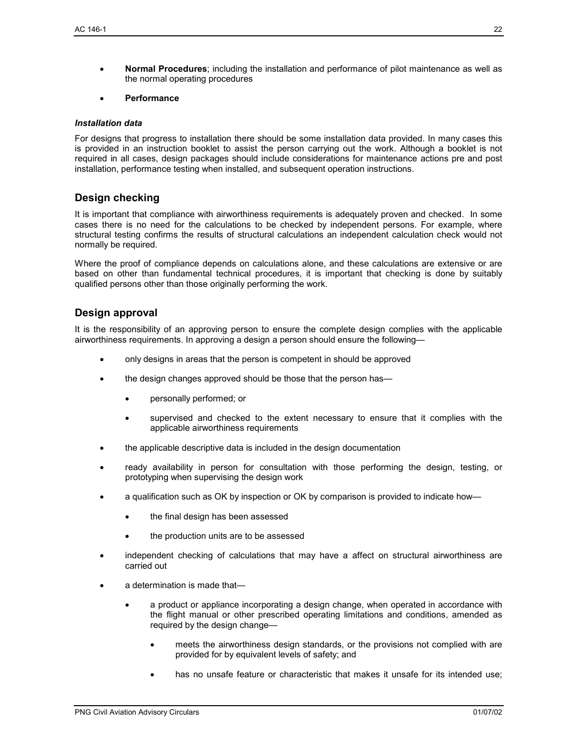• **Normal Procedures**; including the installation and performance of pilot maintenance as well as the normal operating procedures

#### • **Performance**

#### *Installation data*

For designs that progress to installation there should be some installation data provided. In many cases this is provided in an instruction booklet to assist the person carrying out the work. Although a booklet is not required in all cases, design packages should include considerations for maintenance actions pre and post installation, performance testing when installed, and subsequent operation instructions.

## **Design checking**

It is important that compliance with airworthiness requirements is adequately proven and checked. In some cases there is no need for the calculations to be checked by independent persons. For example, where structural testing confirms the results of structural calculations an independent calculation check would not normally be required.

Where the proof of compliance depends on calculations alone, and these calculations are extensive or are based on other than fundamental technical procedures, it is important that checking is done by suitably qualified persons other than those originally performing the work.

## **Design approval**

It is the responsibility of an approving person to ensure the complete design complies with the applicable airworthiness requirements. In approving a design a person should ensure the following—

- only designs in areas that the person is competent in should be approved
- the design changes approved should be those that the person has—
	- personally performed; or
	- supervised and checked to the extent necessary to ensure that it complies with the applicable airworthiness requirements
- the applicable descriptive data is included in the design documentation
- ready availability in person for consultation with those performing the design, testing, or prototyping when supervising the design work
- a qualification such as OK by inspection or OK by comparison is provided to indicate how
	- the final design has been assessed
	- the production units are to be assessed
- independent checking of calculations that may have a affect on structural airworthiness are carried out
- a determination is made that—
	- a product or appliance incorporating a design change, when operated in accordance with the flight manual or other prescribed operating limitations and conditions, amended as required by the design change—
		- meets the airworthiness design standards, or the provisions not complied with are provided for by equivalent levels of safety; and
		- has no unsafe feature or characteristic that makes it unsafe for its intended use;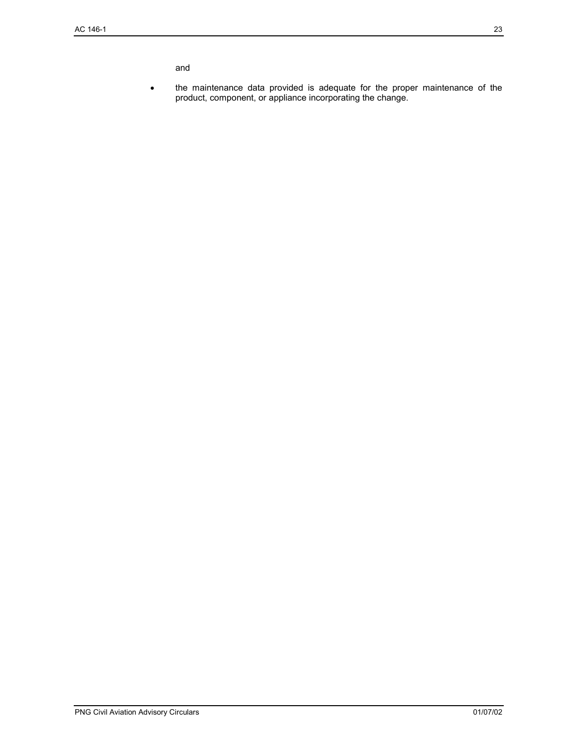and

• the maintenance data provided is adequate for the proper maintenance of the product, component, or appliance incorporating the change.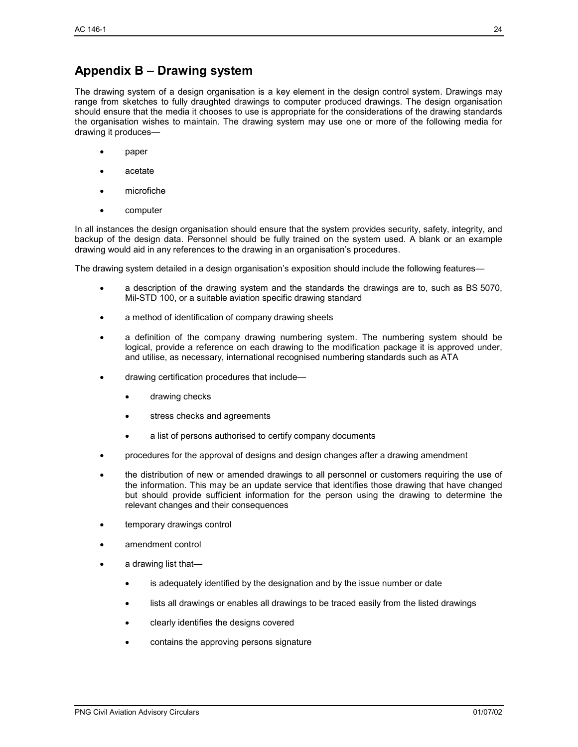# **Appendix B – Drawing system**

The drawing system of a design organisation is a key element in the design control system. Drawings may range from sketches to fully draughted drawings to computer produced drawings. The design organisation should ensure that the media it chooses to use is appropriate for the considerations of the drawing standards the organisation wishes to maintain. The drawing system may use one or more of the following media for drawing it produces—

- paper
- acetate
- microfiche
- computer

In all instances the design organisation should ensure that the system provides security, safety, integrity, and backup of the design data. Personnel should be fully trained on the system used. A blank or an example drawing would aid in any references to the drawing in an organisation's procedures.

The drawing system detailed in a design organisation's exposition should include the following features—

- a description of the drawing system and the standards the drawings are to, such as BS 5070, Mil-STD 100, or a suitable aviation specific drawing standard
- a method of identification of company drawing sheets
- a definition of the company drawing numbering system. The numbering system should be logical, provide a reference on each drawing to the modification package it is approved under, and utilise, as necessary, international recognised numbering standards such as ATA
- drawing certification procedures that include
	- drawing checks
	- stress checks and agreements
	- a list of persons authorised to certify company documents
- procedures for the approval of designs and design changes after a drawing amendment
- the distribution of new or amended drawings to all personnel or customers requiring the use of the information. This may be an update service that identifies those drawing that have changed but should provide sufficient information for the person using the drawing to determine the relevant changes and their consequences
- temporary drawings control
- amendment control
- a drawing list that
	- is adequately identified by the designation and by the issue number or date
	- lists all drawings or enables all drawings to be traced easily from the listed drawings
	- clearly identifies the designs covered
	- contains the approving persons signature